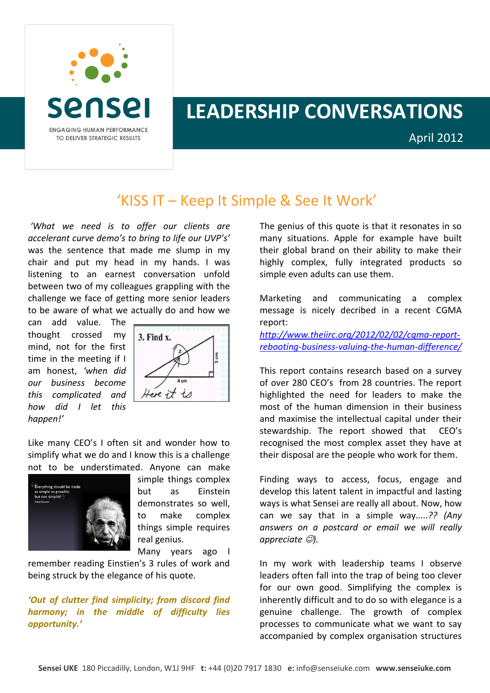

## **LEADERSHIP CONVERSATIONS**

April 2012

## 'KISS IT – Keep It Simple & See It Work'

*'What we need is to offer our clients are accelerant curve demo's to bring to life our UVP's'* was the sentence that made me slump in my chair and put my head in my hands. I was listening to an earnest conversation unfold between two of my colleagues grappling with the challenge we face of getting more senior leaders to be aware of what we actually do and how we

can add value. The thought crossed my mind, not for the first time in the meeting if I am honest, *'when did our business become this complicated and how did I let this happen!'*



Like many CEO's I often sit and wonder how to simplify what we do and I know this is a challenge not to be understimated. Anyone can make



simple things complex but as Einstein demonstrates so well, to make complex things simple requires real genius.

Many years ago I

remember reading Einstien's 3 rules of work and being struck by the elegance of his quote.

*'Out of clutter find simplicity; from discord find harmony; in the middle of difficulty lies opportunity.'*

The genius of this quote is that it resonates in so many situations. Apple for example have built their global brand on their ability to make their highly complex, fully integrated products so simple even adults can use them.

Marketing and communicating a complex message is nicely decribed in a recent CGMA report:

*[http://www.theiirc.org/2012/02/02/cgma-report](http://www.theiirc.org/2012/02/02/cgma-report-rebooting-business-valuing-the-human-difference/)[rebooting-business-valuing-the-human-difference/](http://www.theiirc.org/2012/02/02/cgma-report-rebooting-business-valuing-the-human-difference/)*

This report contains research based on a survey of over 280 CEO's from 28 countries. The report highlighted the need for leaders to make the most of the human dimension in their business and maximise the intellectual capital under their stewardship. The report showed that CEO's recognised the most complex asset they have at their disposal are the people who work for them.

Finding ways to access, focus, engage and develop this latent talent in impactful and lasting ways is what Sensei are really all about. Now, how can we say that in a simple way*.....?? (Any answers on a postcard or email we will really appreciate ).*

In my work with leadership teams I observe leaders often fall into the trap of being too clever for our own good. Simplifying the complex is inherently difficult and to do so with elegance is a genuine challenge. The growth of complex processes to communicate what we want to say accompanied by complex organisation structures